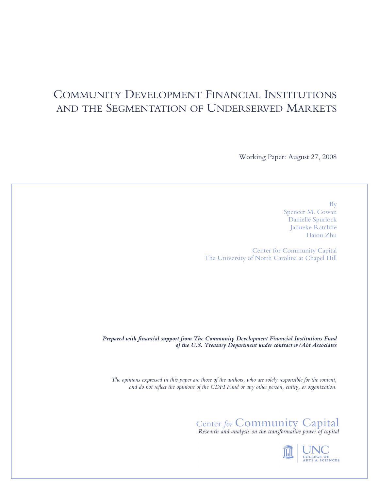# COMMUNITY DEVELOPMENT FINANCIAL INSTITUTIONS AND THE SEGMENTATION OF UNDERSERVED MARKETS

Working Paper: August 27, 2008

By Spencer M. Cowan Danielle Spurlock Janneke Ratcliffe Haiou Zhu

Center for Community Capital The University of North Carolina at Chapel Hill

*Prepared with financial support from The Community Development Financial Institutions Fund of the U.S. Treasury Department under contract w/Abt Associates* 

*The opinions expressed in this paper are those of the authors, who are solely responsible for the content, and do not reflect the opinions of the CDFI Fund or any other person, entity, or organization.* 

Center for Community Capital<br>Research and analysis on the transformative power of capital

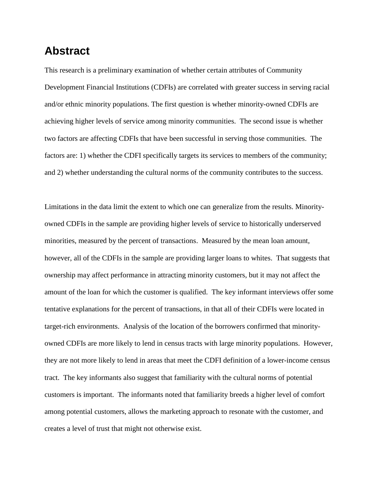# **Abstract**

This research is a preliminary examination of whether certain attributes of Community Development Financial Institutions (CDFIs) are correlated with greater success in serving racial and/or ethnic minority populations. The first question is whether minority-owned CDFIs are achieving higher levels of service among minority communities. The second issue is whether two factors are affecting CDFIs that have been successful in serving those communities. The factors are: 1) whether the CDFI specifically targets its services to members of the community; and 2) whether understanding the cultural norms of the community contributes to the success.

Limitations in the data limit the extent to which one can generalize from the results. Minorityowned CDFIs in the sample are providing higher levels of service to historically underserved minorities, measured by the percent of transactions. Measured by the mean loan amount, however, all of the CDFIs in the sample are providing larger loans to whites. That suggests that ownership may affect performance in attracting minority customers, but it may not affect the amount of the loan for which the customer is qualified. The key informant interviews offer some tentative explanations for the percent of transactions, in that all of their CDFIs were located in target-rich environments. Analysis of the location of the borrowers confirmed that minorityowned CDFIs are more likely to lend in census tracts with large minority populations. However, they are not more likely to lend in areas that meet the CDFI definition of a lower-income census tract. The key informants also suggest that familiarity with the cultural norms of potential customers is important. The informants noted that familiarity breeds a higher level of comfort among potential customers, allows the marketing approach to resonate with the customer, and creates a level of trust that might not otherwise exist.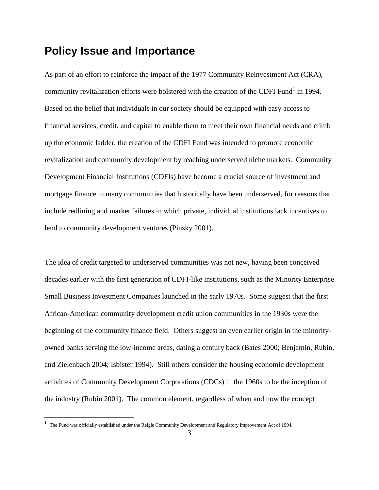## **Policy Issue and Importance**

As part of an effort to reinforce the impact of the 1977 Community Reinvestment Act (CRA), community revitalization efforts were bolstered with the creation of the CDFI Fund<sup>1</sup> in 1994. Based on the belief that individuals in our society should be equipped with easy access to financial services, credit, and capital to enable them to meet their own financial needs and climb up the economic ladder, the creation of the CDFI Fund was intended to promote economic revitalization and community development by reaching underserved niche markets. Community Development Financial Institutions (CDFIs) have become a crucial source of investment and mortgage finance in many communities that historically have been underserved, for reasons that include redlining and market failures in which private, individual institutions lack incentives to lend to community development ventures (Pinsky 2001).

The idea of credit targeted to underserved communities was not new, having been conceived decades earlier with the first generation of CDFI-like institutions, such as the Minority Enterprise Small Business Investment Companies launched in the early 1970s. Some suggest that the first African-American community development credit union communities in the 1930s were the beginning of the community finance field. Others suggest an even earlier origin in the minorityowned banks serving the low-income areas, dating a century back (Bates 2000; Benjamin, Rubin, and Zielenbach 2004; Isbister 1994). Still others consider the housing economic development activities of Community Development Corporations (CDCs) in the 1960s to be the inception of the industry (Rubin 2001). The common element, regardless of when and how the concept

<sup>1</sup> The Fund was officially established under the Reigle Community Development and Regulatory Improvement Act of 1994.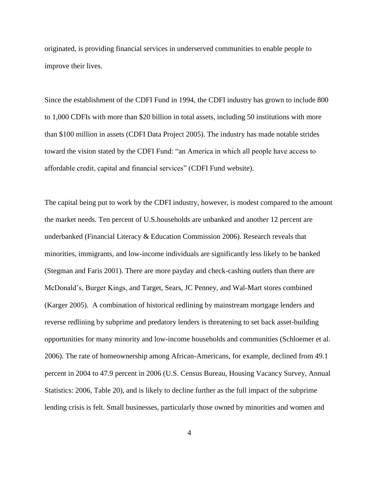originated, is providing financial services in underserved communities to enable people to improve their lives.

Since the establishment of the CDFI Fund in 1994, the CDFI industry has grown to include 800 to 1,000 CDFIs with more than \$20 billion in total assets, including 50 institutions with more than \$100 million in assets (CDFI Data Project 2005). The industry has made notable strides toward the vision stated by the CDFI Fund: "an America in which all people have access to affordable credit, capital and financial services" (CDFI Fund website).

The capital being put to work by the CDFI industry, however, is modest compared to the amount the market needs. Ten percent of U.S.households are unbanked and another 12 percent are underbanked (Financial Literacy & Education Commission 2006). Research reveals that minorities, immigrants, and low-income individuals are significantly less likely to be banked (Stegman and Faris 2001). There are more payday and check-cashing outlets than there are McDonald's, Burger Kings, and Target, Sears, JC Penney, and Wal-Mart stores combined (Karger 2005). A combination of historical redlining by mainstream mortgage lenders and reverse redlining by subprime and predatory lenders is threatening to set back asset-building opportunities for many minority and low-income households and communities (Schloemer et al. 2006). The rate of homeownership among African-Americans, for example, declined from 49.1 percent in 2004 to 47.9 percent in 2006 (U.S. Census Bureau, Housing Vacancy Survey, Annual Statistics: 2006, Table 20), and is likely to decline further as the full impact of the subprime lending crisis is felt. Small businesses, particularly those owned by minorities and women and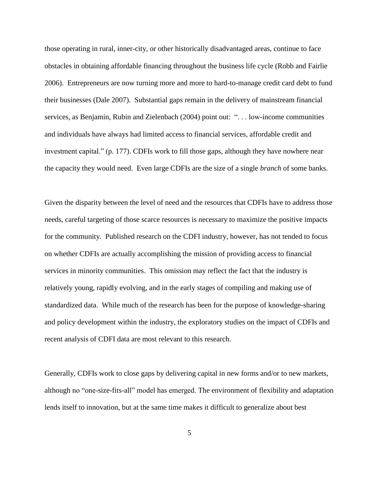those operating in rural, inner-city, or other historically disadvantaged areas, continue to face obstacles in obtaining affordable financing throughout the business life cycle (Robb and Fairlie 2006). Entrepreneurs are now turning more and more to hard-to-manage credit card debt to fund their businesses (Dale 2007). Substantial gaps remain in the delivery of mainstream financial services, as Benjamin, Rubin and Zielenbach (2004) point out: "... low-income communities and individuals have always had limited access to financial services, affordable credit and investment capital." (p. 177). CDFIs work to fill those gaps, although they have nowhere near the capacity they would need. Even large CDFIs are the size of a single *branch* of some banks.

Given the disparity between the level of need and the resources that CDFIs have to address those needs, careful targeting of those scarce resources is necessary to maximize the positive impacts for the community. Published research on the CDFI industry, however, has not tended to focus on whether CDFIs are actually accomplishing the mission of providing access to financial services in minority communities. This omission may reflect the fact that the industry is relatively young, rapidly evolving, and in the early stages of compiling and making use of standardized data. While much of the research has been for the purpose of knowledge-sharing and policy development within the industry, the exploratory studies on the impact of CDFIs and recent analysis of CDFI data are most relevant to this research.

Generally, CDFIs work to close gaps by delivering capital in new forms and/or to new markets, although no "one-size-fits-all" model has emerged. The environment of flexibility and adaptation lends itself to innovation, but at the same time makes it difficult to generalize about best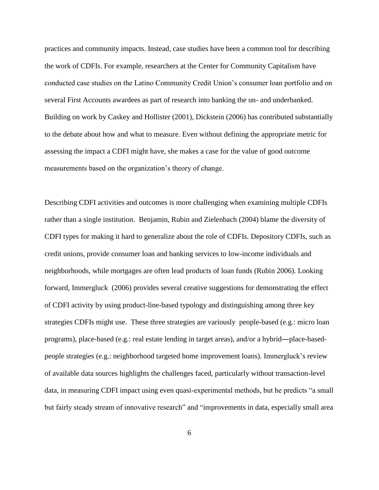practices and community impacts. Instead, case studies have been a common tool for describing the work of CDFIs. For example, researchers at the Center for Community Capitalism have conducted case studies on the Latino Community Credit Union's consumer loan portfolio and on several First Accounts awardees as part of research into banking the un- and underbanked. Building on work by Caskey and Hollister (2001), Dickstein (2006) has contributed substantially to the debate about how and what to measure. Even without defining the appropriate metric for assessing the impact a CDFI might have, she makes a case for the value of good outcome measurements based on the organization's theory of change.

Describing CDFI activities and outcomes is more challenging when examining multiple CDFIs rather than a single institution. Benjamin, Rubin and Zielenbach (2004) blame the diversity of CDFI types for making it hard to generalize about the role of CDFIs. Depository CDFIs, such as credit unions, provide consumer loan and banking services to low-income individuals and neighborhoods, while mortgages are often lead products of loan funds (Rubin 2006). Looking forward, Immergluck (2006) provides several creative suggestions for demonstrating the effect of CDFI activity by using product-line-based typology and distinguishing among three key strategies CDFIs might use. These three strategies are variously people-based (e.g.: micro loan programs), place-based (e.g.: real estate lending in target areas), and/or a hybrid―place-basedpeople strategies (e.g.: neighborhood targeted home improvement loans). Immergluck's review of available data sources highlights the challenges faced, particularly without transaction-level data, in measuring CDFI impact using even quasi-experimental methods, but he predicts "a small but fairly steady stream of innovative research" and "improvements in data, especially small area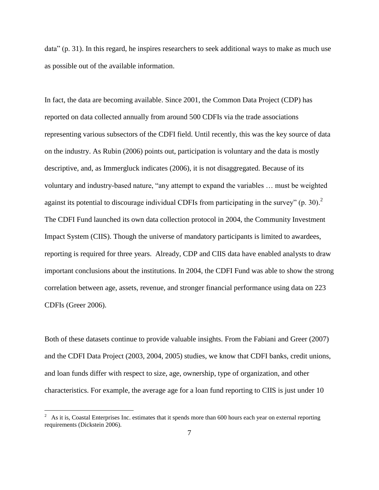$data$ <sup> $\prime$ </sup> (p. 31). In this regard, he inspires researchers to seek additional ways to make as much use as possible out of the available information.

In fact, the data are becoming available. Since 2001, the Common Data Project (CDP) has reported on data collected annually from around 500 CDFIs via the trade associations representing various subsectors of the CDFI field. Until recently, this was the key source of data on the industry. As Rubin (2006) points out, participation is voluntary and the data is mostly descriptive, and, as Immergluck indicates (2006), it is not disaggregated. Because of its voluntary and industry-based nature, "any attempt to expand the variables ... must be weighted against its potential to discourage individual CDFIs from participating in the survey"  $(p. 30)^2$ The CDFI Fund launched its own data collection protocol in 2004, the Community Investment Impact System (CIIS). Though the universe of mandatory participants is limited to awardees, reporting is required for three years. Already, CDP and CIIS data have enabled analysts to draw important conclusions about the institutions. In 2004, the CDFI Fund was able to show the strong correlation between age, assets, revenue, and stronger financial performance using data on 223 CDFIs (Greer 2006).

Both of these datasets continue to provide valuable insights. From the Fabiani and Greer (2007) and the CDFI Data Project (2003, 2004, 2005) studies, we know that CDFI banks, credit unions, and loan funds differ with respect to size, age, ownership, type of organization, and other characteristics. For example, the average age for a loan fund reporting to CIIS is just under 10

<sup>2</sup> As it is, Coastal Enterprises Inc. estimates that it spends more than 600 hours each year on external reporting requirements (Dickstein 2006).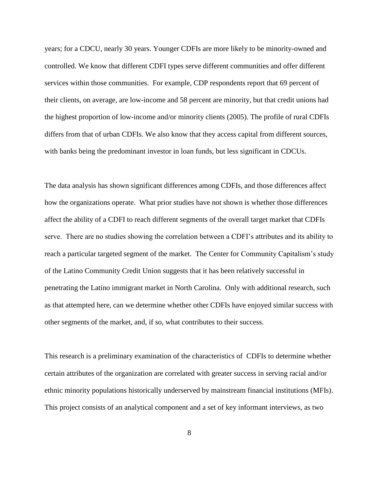years; for a CDCU, nearly 30 years. Younger CDFIs are more likely to be minority-owned and controlled. We know that different CDFI types serve different communities and offer different services within those communities. For example, CDP respondents report that 69 percent of their clients, on average, are low-income and 58 percent are minority, but that credit unions had the highest proportion of low-income and/or minority clients (2005). The profile of rural CDFIs differs from that of urban CDFIs. We also know that they access capital from different sources, with banks being the predominant investor in loan funds, but less significant in CDCUs.

The data analysis has shown significant differences among CDFIs, and those differences affect how the organizations operate. What prior studies have not shown is whether those differences affect the ability of a CDFI to reach different segments of the overall target market that CDFIs serve. There are no studies showing the correlation between a CDFI's attributes and its ability to reach a particular targeted segment of the market. The Center for Community Capitalism's study of the Latino Community Credit Union suggests that it has been relatively successful in penetrating the Latino immigrant market in North Carolina. Only with additional research, such as that attempted here, can we determine whether other CDFIs have enjoyed similar success with other segments of the market, and, if so, what contributes to their success.

This research is a preliminary examination of the characteristics of CDFIs to determine whether certain attributes of the organization are correlated with greater success in serving racial and/or ethnic minority populations historically underserved by mainstream financial institutions (MFIs). This project consists of an analytical component and a set of key informant interviews, as two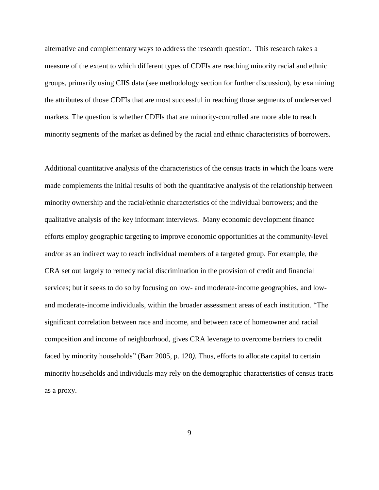alternative and complementary ways to address the research question. This research takes a measure of the extent to which different types of CDFIs are reaching minority racial and ethnic groups, primarily using CIIS data (see methodology section for further discussion), by examining the attributes of those CDFIs that are most successful in reaching those segments of underserved markets. The question is whether CDFIs that are minority-controlled are more able to reach minority segments of the market as defined by the racial and ethnic characteristics of borrowers.

Additional quantitative analysis of the characteristics of the census tracts in which the loans were made complements the initial results of both the quantitative analysis of the relationship between minority ownership and the racial/ethnic characteristics of the individual borrowers; and the qualitative analysis of the key informant interviews. Many economic development finance efforts employ geographic targeting to improve economic opportunities at the community-level and/or as an indirect way to reach individual members of a targeted group. For example, the CRA set out largely to remedy racial discrimination in the provision of credit and financial services; but it seeks to do so by focusing on low- and moderate-income geographies, and lowand moderate-income individuals, within the broader assessment areas of each institution. "The significant correlation between race and income, and between race of homeowner and racial composition and income of neighborhood, gives CRA leverage to overcome barriers to credit faced by minority households" (Barr 2005, p. 120). Thus, efforts to allocate capital to certain minority households and individuals may rely on the demographic characteristics of census tracts as a proxy.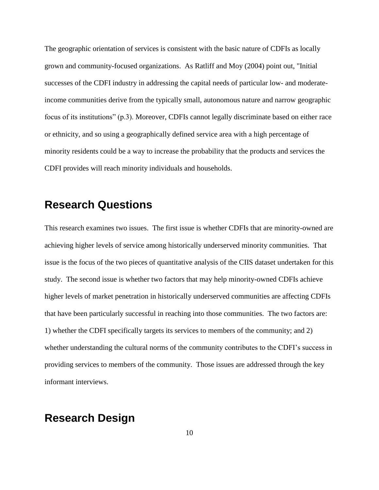The geographic orientation of services is consistent with the basic nature of CDFIs as locally grown and community-focused organizations. As Ratliff and Moy (2004) point out, "Initial successes of the CDFI industry in addressing the capital needs of particular low- and moderateincome communities derive from the typically small, autonomous nature and narrow geographic focus of its institutions" (p.3). Moreover, CDFIs cannot legally discriminate based on either race or ethnicity, and so using a geographically defined service area with a high percentage of minority residents could be a way to increase the probability that the products and services the CDFI provides will reach minority individuals and households.

## **Research Questions**

This research examines two issues. The first issue is whether CDFIs that are minority-owned are achieving higher levels of service among historically underserved minority communities. That issue is the focus of the two pieces of quantitative analysis of the CIIS dataset undertaken for this study. The second issue is whether two factors that may help minority-owned CDFIs achieve higher levels of market penetration in historically underserved communities are affecting CDFIs that have been particularly successful in reaching into those communities. The two factors are: 1) whether the CDFI specifically targets its services to members of the community; and 2) whether understanding the cultural norms of the community contributes to the CDFI's success in providing services to members of the community. Those issues are addressed through the key informant interviews.

## **Research Design**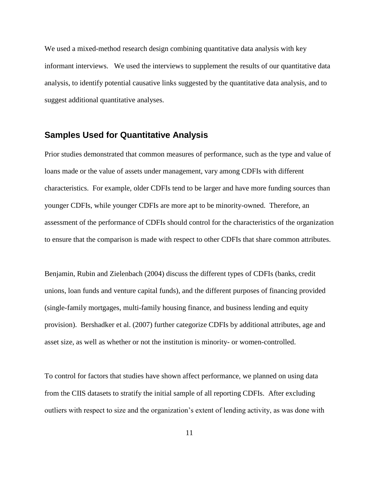We used a mixed-method research design combining quantitative data analysis with key informant interviews. We used the interviews to supplement the results of our quantitative data analysis, to identify potential causative links suggested by the quantitative data analysis, and to suggest additional quantitative analyses.

### **Samples Used for Quantitative Analysis**

Prior studies demonstrated that common measures of performance, such as the type and value of loans made or the value of assets under management, vary among CDFIs with different characteristics. For example, older CDFIs tend to be larger and have more funding sources than younger CDFIs, while younger CDFIs are more apt to be minority-owned. Therefore, an assessment of the performance of CDFIs should control for the characteristics of the organization to ensure that the comparison is made with respect to other CDFIs that share common attributes.

Benjamin, Rubin and Zielenbach (2004) discuss the different types of CDFIs (banks, credit unions, loan funds and venture capital funds), and the different purposes of financing provided (single-family mortgages, multi-family housing finance, and business lending and equity provision). Bershadker et al. (2007) further categorize CDFIs by additional attributes, age and asset size, as well as whether or not the institution is minority- or women-controlled.

To control for factors that studies have shown affect performance, we planned on using data from the CIIS datasets to stratify the initial sample of all reporting CDFIs. After excluding outliers with respect to size and the organization's extent of lending activity, as was done with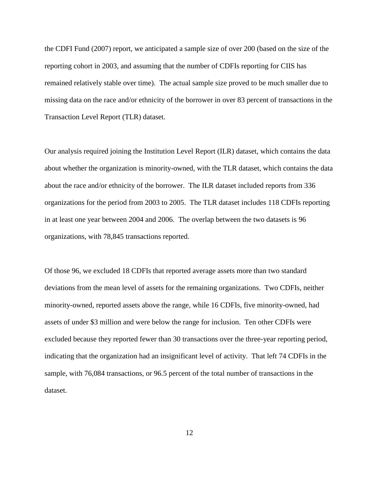the CDFI Fund (2007) report, we anticipated a sample size of over 200 (based on the size of the reporting cohort in 2003, and assuming that the number of CDFIs reporting for CIIS has remained relatively stable over time). The actual sample size proved to be much smaller due to missing data on the race and/or ethnicity of the borrower in over 83 percent of transactions in the Transaction Level Report (TLR) dataset.

Our analysis required joining the Institution Level Report (ILR) dataset, which contains the data about whether the organization is minority-owned, with the TLR dataset, which contains the data about the race and/or ethnicity of the borrower. The ILR dataset included reports from 336 organizations for the period from 2003 to 2005. The TLR dataset includes 118 CDFIs reporting in at least one year between 2004 and 2006. The overlap between the two datasets is 96 organizations, with 78,845 transactions reported.

Of those 96, we excluded 18 CDFIs that reported average assets more than two standard deviations from the mean level of assets for the remaining organizations. Two CDFIs, neither minority-owned, reported assets above the range, while 16 CDFIs, five minority-owned, had assets of under \$3 million and were below the range for inclusion. Ten other CDFIs were excluded because they reported fewer than 30 transactions over the three-year reporting period, indicating that the organization had an insignificant level of activity. That left 74 CDFIs in the sample, with 76,084 transactions, or 96.5 percent of the total number of transactions in the dataset.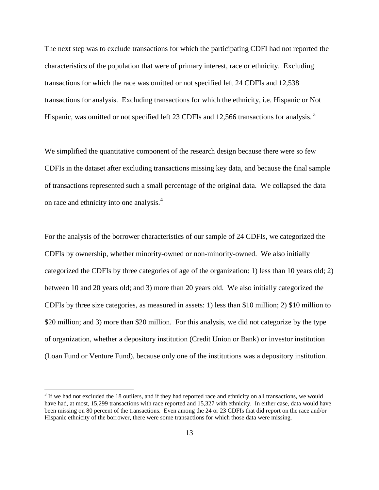The next step was to exclude transactions for which the participating CDFI had not reported the characteristics of the population that were of primary interest, race or ethnicity. Excluding transactions for which the race was omitted or not specified left 24 CDFIs and 12,538 transactions for analysis. Excluding transactions for which the ethnicity, i.e. Hispanic or Not Hispanic, was omitted or not specified left 23 CDFIs and 12,566 transactions for analysis.<sup>3</sup>

We simplified the quantitative component of the research design because there were so few CDFIs in the dataset after excluding transactions missing key data, and because the final sample of transactions represented such a small percentage of the original data. We collapsed the data on race and ethnicity into one analysis.<sup>4</sup>

For the analysis of the borrower characteristics of our sample of 24 CDFIs, we categorized the CDFIs by ownership, whether minority-owned or non-minority-owned. We also initially categorized the CDFIs by three categories of age of the organization: 1) less than 10 years old; 2) between 10 and 20 years old; and 3) more than 20 years old. We also initially categorized the CDFIs by three size categories, as measured in assets: 1) less than \$10 million; 2) \$10 million to \$20 million; and 3) more than \$20 million. For this analysis, we did not categorize by the type of organization, whether a depository institution (Credit Union or Bank) or investor institution (Loan Fund or Venture Fund), because only one of the institutions was a depository institution.

 $3$  If we had not excluded the 18 outliers, and if they had reported race and ethnicity on all transactions, we would have had, at most, 15,299 transactions with race reported and 15,327 with ethnicity. In either case, data would have been missing on 80 percent of the transactions. Even among the 24 or 23 CDFIs that did report on the race and/or Hispanic ethnicity of the borrower, there were some transactions for which those data were missing.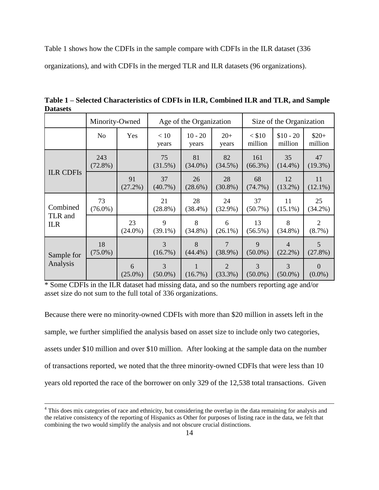Table 1 shows how the CDFIs in the sample compare with CDFIs in the ILR dataset (336 organizations), and with CDFIs in the merged TLR and ILR datasets (96 organizations).

**Table 1 – Selected Characteristics of CDFIs in ILR, Combined ILR and TLR, and Sample Datasets**

|                                   | Minority-Owned    |                  | Age of the Organization      |                    |                              | Size of the Organization  |                              |                       |
|-----------------------------------|-------------------|------------------|------------------------------|--------------------|------------------------------|---------------------------|------------------------------|-----------------------|
|                                   | N <sub>o</sub>    | Yes              | < 10<br>years                | $10 - 20$<br>years | $20+$<br>years               | $<$ \$10<br>million       | $$10 - 20$<br>million        | $$20+$<br>million     |
|                                   | 243<br>$(72.8\%)$ |                  | 75<br>(31.5%)                | 81<br>$(34.0\%)$   | 82<br>$(34.5\%)$             | 161<br>$(66.3\%)$         | 35<br>$(14.4\%)$             | 47<br>$(19.3\%)$      |
| <b>ILR CDFIs</b>                  |                   | 91<br>$(27.2\%)$ | 37<br>$(40.7\%)$             | 26<br>$(28.6\%)$   | 28<br>$(30.8\%)$             | 68<br>(74.7%)             | 12<br>$(13.2\%)$             | 11<br>$(12.1\%)$      |
| Combined<br>TLR and<br><b>ILR</b> | 73<br>$(76.0\%)$  |                  | 21<br>$(28.8\%)$             | 28<br>$(38.4\%)$   | 24<br>$(32.9\%)$             | 37<br>$(50.7\%)$          | 11<br>$(15.1\%)$             | 25<br>$(34.2\%)$      |
|                                   |                   | 23<br>$(24.0\%)$ | 9<br>$(39.1\%)$              | 8<br>$(34.8\%)$    | 6<br>$(26.1\%)$              | 13<br>$(56.5\%)$          | 8<br>$(34.8\%)$              | 2<br>$(8.7\%)$        |
| Sample for<br>Analysis            | 18<br>$(75.0\%)$  |                  | 3<br>$(16.7\%)$              | 8<br>$(44.4\%)$    | 7<br>$(38.9\%)$              | $\mathbf Q$<br>$(50.0\%)$ | $\overline{4}$<br>$(22.2\%)$ | 5<br>$(27.8\%)$       |
|                                   |                   | 6<br>$(25.0\%)$  | $\overline{3}$<br>$(50.0\%)$ | $(16.7\%)$         | $\overline{2}$<br>$(33.3\%)$ | 3<br>$(50.0\%)$           | 3<br>$(50.0\%)$              | $\Omega$<br>$(0.0\%)$ |

\* Some CDFIs in the ILR dataset had missing data, and so the numbers reporting age and/or asset size do not sum to the full total of 336 organizations.

Because there were no minority-owned CDFIs with more than \$20 million in assets left in the sample, we further simplified the analysis based on asset size to include only two categories, assets under \$10 million and over \$10 million. After looking at the sample data on the number of transactions reported, we noted that the three minority-owned CDFIs that were less than 10 years old reported the race of the borrower on only 329 of the 12,538 total transactions. Given

<sup>&</sup>lt;sup>4</sup> This does mix categories of race and ethnicity, but considering the overlap in the data remaining for analysis and the relative consistency of the reporting of Hispanics as Other for purposes of listing race in the data, we felt that combining the two would simplify the analysis and not obscure crucial distinctions.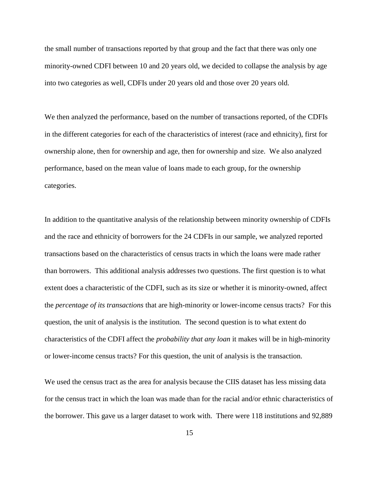the small number of transactions reported by that group and the fact that there was only one minority-owned CDFI between 10 and 20 years old, we decided to collapse the analysis by age into two categories as well, CDFIs under 20 years old and those over 20 years old.

We then analyzed the performance, based on the number of transactions reported, of the CDFIs in the different categories for each of the characteristics of interest (race and ethnicity), first for ownership alone, then for ownership and age, then for ownership and size. We also analyzed performance, based on the mean value of loans made to each group, for the ownership categories.

In addition to the quantitative analysis of the relationship between minority ownership of CDFIs and the race and ethnicity of borrowers for the 24 CDFIs in our sample, we analyzed reported transactions based on the characteristics of census tracts in which the loans were made rather than borrowers. This additional analysis addresses two questions. The first question is to what extent does a characteristic of the CDFI, such as its size or whether it is minority-owned, affect the *percentage of its transactions* that are high-minority or lower-income census tracts? For this question, the unit of analysis is the institution. The second question is to what extent do characteristics of the CDFI affect the *probability that any loan* it makes will be in high-minority or lower-income census tracts? For this question, the unit of analysis is the transaction.

We used the census tract as the area for analysis because the CIIS dataset has less missing data for the census tract in which the loan was made than for the racial and/or ethnic characteristics of the borrower. This gave us a larger dataset to work with. There were 118 institutions and 92,889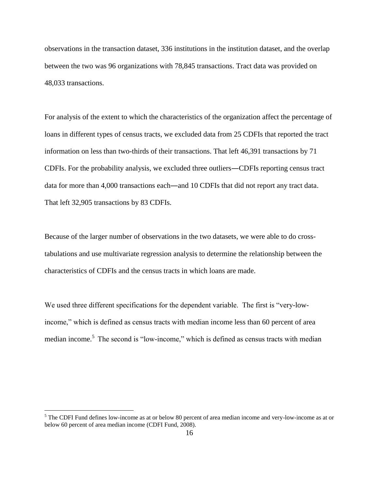observations in the transaction dataset, 336 institutions in the institution dataset, and the overlap between the two was 96 organizations with 78,845 transactions. Tract data was provided on 48,033 transactions.

For analysis of the extent to which the characteristics of the organization affect the percentage of loans in different types of census tracts, we excluded data from 25 CDFIs that reported the tract information on less than two-thirds of their transactions. That left 46,391 transactions by 71 CDFIs. For the probability analysis, we excluded three outliers―CDFIs reporting census tract data for more than 4,000 transactions each―and 10 CDFIs that did not report any tract data. That left 32,905 transactions by 83 CDFIs.

Because of the larger number of observations in the two datasets, we were able to do crosstabulations and use multivariate regression analysis to determine the relationship between the characteristics of CDFIs and the census tracts in which loans are made.

We used three different specifications for the dependent variable. The first is "very-lowincome," which is defined as census tracts with median income less than 60 percent of area median income.<sup>5</sup> The second is "low-income," which is defined as census tracts with median

<sup>&</sup>lt;sup>5</sup> The CDFI Fund defines low-income as at or below 80 percent of area median income and very-low-income as at or below 60 percent of area median income (CDFI Fund, 2008).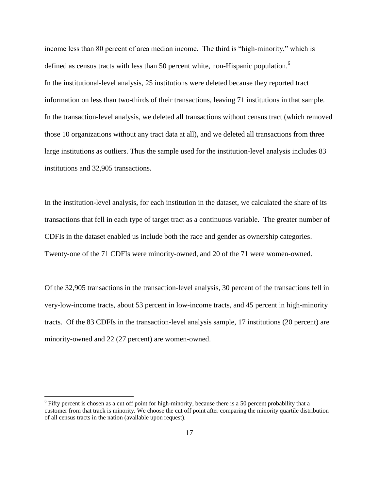income less than 80 percent of area median income. The third is "high-minority," which is defined as census tracts with less than 50 percent white, non-Hispanic population.<sup>6</sup> In the institutional-level analysis, 25 institutions were deleted because they reported tract information on less than two-thirds of their transactions, leaving 71 institutions in that sample. In the transaction-level analysis, we deleted all transactions without census tract (which removed those 10 organizations without any tract data at all), and we deleted all transactions from three large institutions as outliers. Thus the sample used for the institution-level analysis includes 83 institutions and 32,905 transactions.

In the institution-level analysis, for each institution in the dataset, we calculated the share of its transactions that fell in each type of target tract as a continuous variable. The greater number of CDFIs in the dataset enabled us include both the race and gender as ownership categories. Twenty-one of the 71 CDFIs were minority-owned, and 20 of the 71 were women-owned.

Of the 32,905 transactions in the transaction-level analysis, 30 percent of the transactions fell in very-low-income tracts, about 53 percent in low-income tracts, and 45 percent in high-minority tracts. Of the 83 CDFIs in the transaction-level analysis sample, 17 institutions (20 percent) are minority-owned and 22 (27 percent) are women-owned.

 $6$  Fifty percent is chosen as a cut off point for high-minority, because there is a 50 percent probability that a customer from that track is minority. We choose the cut off point after comparing the minority quartile distribution of all census tracts in the nation (available upon request).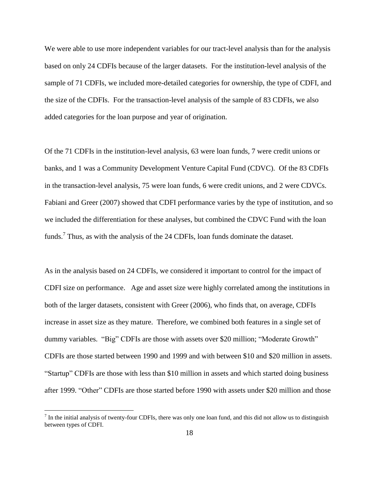We were able to use more independent variables for our tract-level analysis than for the analysis based on only 24 CDFIs because of the larger datasets. For the institution-level analysis of the sample of 71 CDFIs, we included more-detailed categories for ownership, the type of CDFI, and the size of the CDFIs. For the transaction-level analysis of the sample of 83 CDFIs, we also added categories for the loan purpose and year of origination.

Of the 71 CDFIs in the institution-level analysis, 63 were loan funds, 7 were credit unions or banks, and 1 was a Community Development Venture Capital Fund (CDVC). Of the 83 CDFIs in the transaction-level analysis, 75 were loan funds, 6 were credit unions, and 2 were CDVCs. Fabiani and Greer (2007) showed that CDFI performance varies by the type of institution, and so we included the differentiation for these analyses, but combined the CDVC Fund with the loan funds.<sup>7</sup> Thus, as with the analysis of the 24 CDFIs, loan funds dominate the dataset.

As in the analysis based on 24 CDFIs, we considered it important to control for the impact of CDFI size on performance. Age and asset size were highly correlated among the institutions in both of the larger datasets, consistent with Greer (2006), who finds that, on average, CDFIs increase in asset size as they mature. Therefore, we combined both features in a single set of dummy variables. "Big" CDFIs are those with assets over \$20 million; "Moderate Growth" CDFIs are those started between 1990 and 1999 and with between \$10 and \$20 million in assets. ―Startup‖ CDFIs are those with less than \$10 million in assets and which started doing business after 1999. "Other" CDFIs are those started before 1990 with assets under \$20 million and those

 $<sup>7</sup>$  In the initial analysis of twenty-four CDFIs, there was only one loan fund, and this did not allow us to distinguish</sup> between types of CDFI.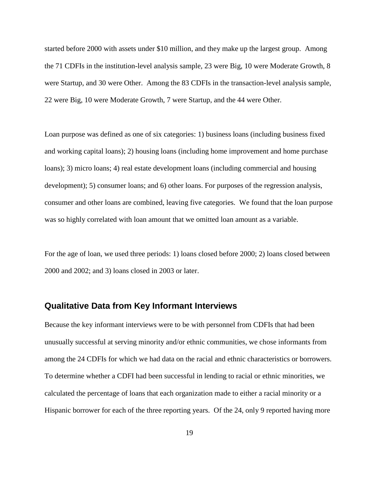started before 2000 with assets under \$10 million, and they make up the largest group. Among the 71 CDFIs in the institution-level analysis sample, 23 were Big, 10 were Moderate Growth, 8 were Startup, and 30 were Other. Among the 83 CDFIs in the transaction-level analysis sample, 22 were Big, 10 were Moderate Growth, 7 were Startup, and the 44 were Other.

Loan purpose was defined as one of six categories: 1) business loans (including business fixed and working capital loans); 2) housing loans (including home improvement and home purchase loans); 3) micro loans; 4) real estate development loans (including commercial and housing development); 5) consumer loans; and 6) other loans. For purposes of the regression analysis, consumer and other loans are combined, leaving five categories. We found that the loan purpose was so highly correlated with loan amount that we omitted loan amount as a variable.

For the age of loan, we used three periods: 1) loans closed before 2000; 2) loans closed between 2000 and 2002; and 3) loans closed in 2003 or later.

### **Qualitative Data from Key Informant Interviews**

Because the key informant interviews were to be with personnel from CDFIs that had been unusually successful at serving minority and/or ethnic communities, we chose informants from among the 24 CDFIs for which we had data on the racial and ethnic characteristics or borrowers. To determine whether a CDFI had been successful in lending to racial or ethnic minorities, we calculated the percentage of loans that each organization made to either a racial minority or a Hispanic borrower for each of the three reporting years. Of the 24, only 9 reported having more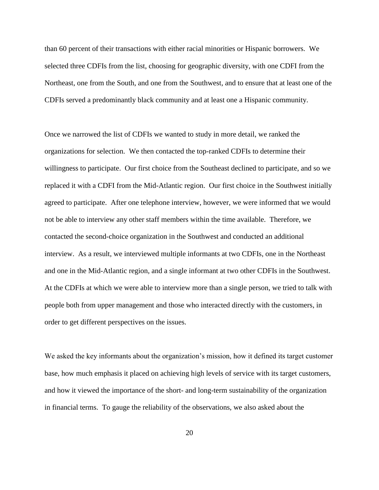than 60 percent of their transactions with either racial minorities or Hispanic borrowers. We selected three CDFIs from the list, choosing for geographic diversity, with one CDFI from the Northeast, one from the South, and one from the Southwest, and to ensure that at least one of the CDFIs served a predominantly black community and at least one a Hispanic community.

Once we narrowed the list of CDFIs we wanted to study in more detail, we ranked the organizations for selection. We then contacted the top-ranked CDFIs to determine their willingness to participate. Our first choice from the Southeast declined to participate, and so we replaced it with a CDFI from the Mid-Atlantic region. Our first choice in the Southwest initially agreed to participate. After one telephone interview, however, we were informed that we would not be able to interview any other staff members within the time available. Therefore, we contacted the second-choice organization in the Southwest and conducted an additional interview. As a result, we interviewed multiple informants at two CDFIs, one in the Northeast and one in the Mid-Atlantic region, and a single informant at two other CDFIs in the Southwest. At the CDFIs at which we were able to interview more than a single person, we tried to talk with people both from upper management and those who interacted directly with the customers, in order to get different perspectives on the issues.

We asked the key informants about the organization's mission, how it defined its target customer base, how much emphasis it placed on achieving high levels of service with its target customers, and how it viewed the importance of the short- and long-term sustainability of the organization in financial terms. To gauge the reliability of the observations, we also asked about the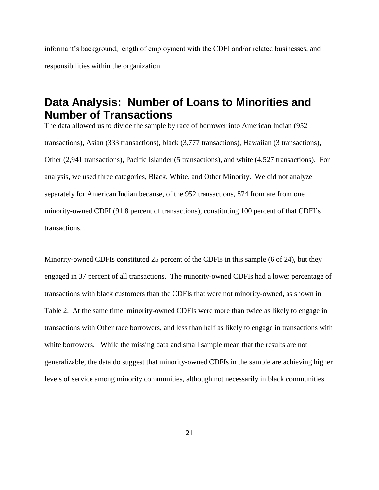informant's background, length of employment with the CDFI and/or related businesses, and responsibilities within the organization.

# **Data Analysis: Number of Loans to Minorities and Number of Transactions**

The data allowed us to divide the sample by race of borrower into American Indian (952 transactions), Asian (333 transactions), black (3,777 transactions), Hawaiian (3 transactions), Other (2,941 transactions), Pacific Islander (5 transactions), and white (4,527 transactions). For analysis, we used three categories, Black, White, and Other Minority. We did not analyze separately for American Indian because, of the 952 transactions, 874 from are from one minority-owned CDFI (91.8 percent of transactions), constituting 100 percent of that CDFI's transactions.

Minority-owned CDFIs constituted 25 percent of the CDFIs in this sample (6 of 24), but they engaged in 37 percent of all transactions. The minority-owned CDFIs had a lower percentage of transactions with black customers than the CDFIs that were not minority-owned, as shown in Table 2. At the same time, minority-owned CDFIs were more than twice as likely to engage in transactions with Other race borrowers, and less than half as likely to engage in transactions with white borrowers. While the missing data and small sample mean that the results are not generalizable, the data do suggest that minority-owned CDFIs in the sample are achieving higher levels of service among minority communities, although not necessarily in black communities.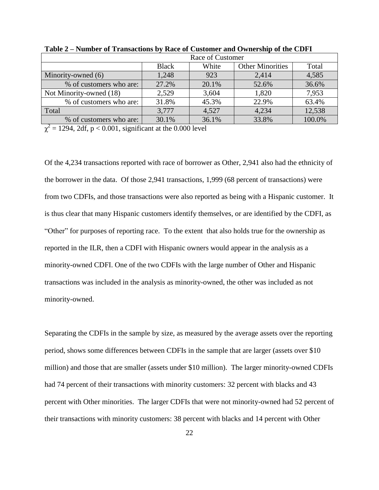|                         | Race of Customer                                 |       |       |        |  |  |  |
|-------------------------|--------------------------------------------------|-------|-------|--------|--|--|--|
|                         | <b>Other Minorities</b><br>White<br><b>Black</b> |       |       |        |  |  |  |
| Minority-owned (6)      | 1,248                                            | 923   | 2,414 | 4,585  |  |  |  |
| % of customers who are: | 27.2%                                            | 20.1% | 52.6% | 36.6%  |  |  |  |
| Not Minority-owned (18) | 2,529                                            | 3,604 | 1,820 | 7,953  |  |  |  |
| % of customers who are: | 31.8%                                            | 45.3% | 22.9% | 63.4%  |  |  |  |
| Total                   | 3,777                                            | 4,527 | 4,234 | 12,538 |  |  |  |
| % of customers who are: | 30.1%                                            | 36.1% | 33.8% | 100.0% |  |  |  |

**Table 2 – Number of Transactions by Race of Customer and Ownership of the CDFI**

 $\chi^2$  = 1294, 2df, p < 0.001, significant at the 0.000 level

Of the 4,234 transactions reported with race of borrower as Other, 2,941 also had the ethnicity of the borrower in the data. Of those 2,941 transactions, 1,999 (68 percent of transactions) were from two CDFIs, and those transactions were also reported as being with a Hispanic customer. It is thus clear that many Hispanic customers identify themselves, or are identified by the CDFI, as ―Other‖ for purposes of reporting race. To the extent that also holds true for the ownership as reported in the ILR, then a CDFI with Hispanic owners would appear in the analysis as a minority-owned CDFI. One of the two CDFIs with the large number of Other and Hispanic transactions was included in the analysis as minority-owned, the other was included as not minority-owned.

Separating the CDFIs in the sample by size, as measured by the average assets over the reporting period, shows some differences between CDFIs in the sample that are larger (assets over \$10 million) and those that are smaller (assets under \$10 million). The larger minority-owned CDFIs had 74 percent of their transactions with minority customers: 32 percent with blacks and 43 percent with Other minorities. The larger CDFIs that were not minority-owned had 52 percent of their transactions with minority customers: 38 percent with blacks and 14 percent with Other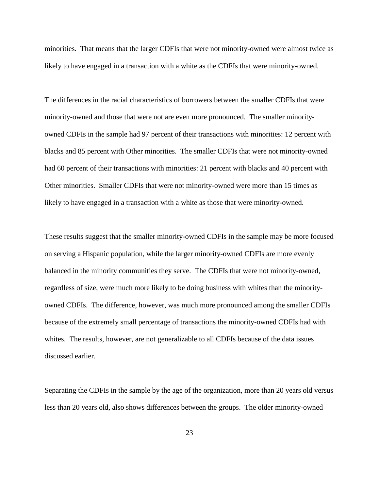minorities. That means that the larger CDFIs that were not minority-owned were almost twice as likely to have engaged in a transaction with a white as the CDFIs that were minority-owned.

The differences in the racial characteristics of borrowers between the smaller CDFIs that were minority-owned and those that were not are even more pronounced. The smaller minorityowned CDFIs in the sample had 97 percent of their transactions with minorities: 12 percent with blacks and 85 percent with Other minorities. The smaller CDFIs that were not minority-owned had 60 percent of their transactions with minorities: 21 percent with blacks and 40 percent with Other minorities. Smaller CDFIs that were not minority-owned were more than 15 times as likely to have engaged in a transaction with a white as those that were minority-owned.

These results suggest that the smaller minority-owned CDFIs in the sample may be more focused on serving a Hispanic population, while the larger minority-owned CDFIs are more evenly balanced in the minority communities they serve. The CDFIs that were not minority-owned, regardless of size, were much more likely to be doing business with whites than the minorityowned CDFIs. The difference, however, was much more pronounced among the smaller CDFIs because of the extremely small percentage of transactions the minority-owned CDFIs had with whites. The results, however, are not generalizable to all CDFIs because of the data issues discussed earlier.

Separating the CDFIs in the sample by the age of the organization, more than 20 years old versus less than 20 years old, also shows differences between the groups. The older minority-owned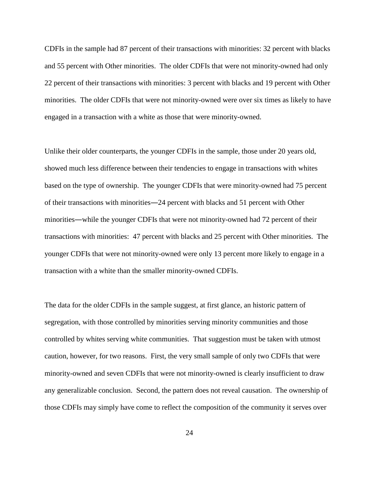CDFIs in the sample had 87 percent of their transactions with minorities: 32 percent with blacks and 55 percent with Other minorities. The older CDFIs that were not minority-owned had only 22 percent of their transactions with minorities: 3 percent with blacks and 19 percent with Other minorities. The older CDFIs that were not minority-owned were over six times as likely to have engaged in a transaction with a white as those that were minority-owned.

Unlike their older counterparts, the younger CDFIs in the sample, those under 20 years old, showed much less difference between their tendencies to engage in transactions with whites based on the type of ownership. The younger CDFIs that were minority-owned had 75 percent of their transactions with minorities―24 percent with blacks and 51 percent with Other minorities―while the younger CDFIs that were not minority-owned had 72 percent of their transactions with minorities: 47 percent with blacks and 25 percent with Other minorities. The younger CDFIs that were not minority-owned were only 13 percent more likely to engage in a transaction with a white than the smaller minority-owned CDFIs.

The data for the older CDFIs in the sample suggest, at first glance, an historic pattern of segregation, with those controlled by minorities serving minority communities and those controlled by whites serving white communities. That suggestion must be taken with utmost caution, however, for two reasons. First, the very small sample of only two CDFIs that were minority-owned and seven CDFIs that were not minority-owned is clearly insufficient to draw any generalizable conclusion. Second, the pattern does not reveal causation. The ownership of those CDFIs may simply have come to reflect the composition of the community it serves over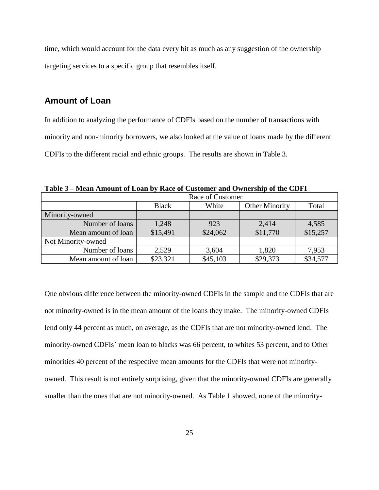time, which would account for the data every bit as much as any suggestion of the ownership targeting services to a specific group that resembles itself.

#### **Amount of Loan**

In addition to analyzing the performance of CDFIs based on the number of transactions with minority and non-minority borrowers, we also looked at the value of loans made by the different CDFIs to the different racial and ethnic groups. The results are shown in Table 3.

**Table 3 – Mean Amount of Loan by Race of Customer and Ownership of the CDFI**

|                     | Race of Customer |          |                       |          |  |  |  |
|---------------------|------------------|----------|-----------------------|----------|--|--|--|
|                     | <b>Black</b>     | White    | <b>Other Minority</b> | Total    |  |  |  |
| Minority-owned      |                  |          |                       |          |  |  |  |
| Number of loans     | 1,248            | 923      | 2,414                 | 4,585    |  |  |  |
| Mean amount of loan | \$15,491         | \$24,062 | \$11,770              | \$15,257 |  |  |  |
| Not Minority-owned  |                  |          |                       |          |  |  |  |
| Number of loans     | 2,529            | 3,604    | 1,820                 | 7,953    |  |  |  |
| Mean amount of loan | \$23,321         | \$45,103 | \$29,373              | \$34,577 |  |  |  |

One obvious difference between the minority-owned CDFIs in the sample and the CDFIs that are not minority-owned is in the mean amount of the loans they make. The minority-owned CDFIs lend only 44 percent as much, on average, as the CDFIs that are not minority-owned lend. The minority-owned CDFIs' mean loan to blacks was 66 percent, to whites 53 percent, and to Other minorities 40 percent of the respective mean amounts for the CDFIs that were not minorityowned. This result is not entirely surprising, given that the minority-owned CDFIs are generally smaller than the ones that are not minority-owned. As Table 1 showed, none of the minority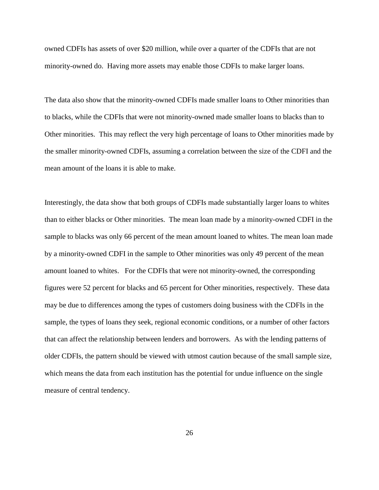owned CDFIs has assets of over \$20 million, while over a quarter of the CDFIs that are not minority-owned do. Having more assets may enable those CDFIs to make larger loans.

The data also show that the minority-owned CDFIs made smaller loans to Other minorities than to blacks, while the CDFIs that were not minority-owned made smaller loans to blacks than to Other minorities. This may reflect the very high percentage of loans to Other minorities made by the smaller minority-owned CDFIs, assuming a correlation between the size of the CDFI and the mean amount of the loans it is able to make.

Interestingly, the data show that both groups of CDFIs made substantially larger loans to whites than to either blacks or Other minorities. The mean loan made by a minority-owned CDFI in the sample to blacks was only 66 percent of the mean amount loaned to whites. The mean loan made by a minority-owned CDFI in the sample to Other minorities was only 49 percent of the mean amount loaned to whites. For the CDFIs that were not minority-owned, the corresponding figures were 52 percent for blacks and 65 percent for Other minorities, respectively. These data may be due to differences among the types of customers doing business with the CDFIs in the sample, the types of loans they seek, regional economic conditions, or a number of other factors that can affect the relationship between lenders and borrowers. As with the lending patterns of older CDFIs, the pattern should be viewed with utmost caution because of the small sample size, which means the data from each institution has the potential for undue influence on the single measure of central tendency.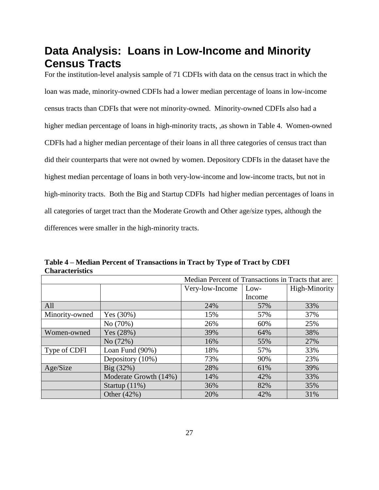# **Data Analysis: Loans in Low-Income and Minority Census Tracts**

For the institution-level analysis sample of 71 CDFIs with data on the census tract in which the loan was made, minority-owned CDFIs had a lower median percentage of loans in low-income census tracts than CDFIs that were not minority-owned. Minority-owned CDFIs also had a higher median percentage of loans in high-minority tracts, ,as shown in Table 4. Women-owned CDFIs had a higher median percentage of their loans in all three categories of census tract than did their counterparts that were not owned by women. Depository CDFIs in the dataset have the highest median percentage of loans in both very-low-income and low-income tracts, but not in high-minority tracts. Both the Big and Startup CDFIs had higher median percentages of loans in all categories of target tract than the Moderate Growth and Other age/size types, although the differences were smaller in the high-minority tracts.

**Table 4 – Median Percent of Transactions in Tract by Type of Tract by CDFI Characteristics**

|                |                       | Median Percent of Transactions in Tracts that are: |        |               |  |  |
|----------------|-----------------------|----------------------------------------------------|--------|---------------|--|--|
|                |                       | Very-low-Income                                    | Low-   | High-Minority |  |  |
|                |                       |                                                    | Income |               |  |  |
| All            |                       | 24%                                                | 57%    | 33%           |  |  |
| Minority-owned | Yes $(30%)$           | 15%                                                | 57%    | 37%           |  |  |
|                | No (70%)              | 26%                                                | 60%    | 25%           |  |  |
| Women-owned    | Yes $(28%)$           | 39%                                                | 64%    | 38%           |  |  |
|                | No (72%)              | 16%                                                | 55%    | 27%           |  |  |
| Type of CDFI   | Loan Fund $(90\%)$    | 18%                                                | 57%    | 33%           |  |  |
|                | Depository (10%)      | 73%                                                | 90%    | 23%           |  |  |
| Age/Size       | $Big(32\%)$           | 28%                                                | 61%    | 39%           |  |  |
|                | Moderate Growth (14%) | 14%                                                | 42%    | 33%           |  |  |
|                | Startup $(11\%)$      | 36%                                                | 82%    | 35%           |  |  |
|                | Other (42%)           | 20%                                                | 42%    | 31%           |  |  |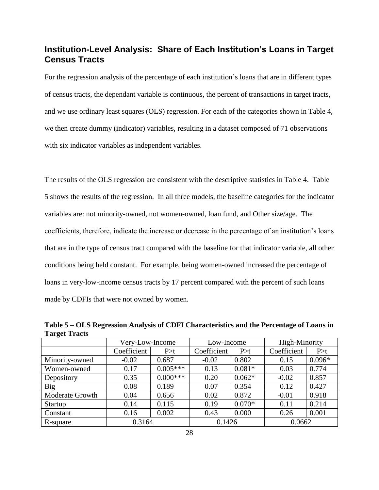## **Institution-Level Analysis: Share of Each Institution's Loans in Target Census Tracts**

For the regression analysis of the percentage of each institution's loans that are in different types of census tracts, the dependant variable is continuous, the percent of transactions in target tracts, and we use ordinary least squares (OLS) regression. For each of the categories shown in Table 4, we then create dummy (indicator) variables, resulting in a dataset composed of 71 observations with six indicator variables as independent variables.

The results of the OLS regression are consistent with the descriptive statistics in Table 4. Table 5 shows the results of the regression. In all three models, the baseline categories for the indicator variables are: not minority-owned, not women-owned, loan fund, and Other size/age. The coefficients, therefore, indicate the increase or decrease in the percentage of an institution's loans that are in the type of census tract compared with the baseline for that indicator variable, all other conditions being held constant. For example, being women-owned increased the percentage of loans in very-low-income census tracts by 17 percent compared with the percent of such loans made by CDFIs that were not owned by women.

**Table 5 – OLS Regression Analysis of CDFI Characteristics and the Percentage of Loans in Target Tracts**

|                 | Very-Low-Income |            | Low-Income  |          | High-Minority |          |
|-----------------|-----------------|------------|-------------|----------|---------------|----------|
|                 | Coefficient     | P > t      | Coefficient | P>t      | Coefficient   | P > t    |
| Minority-owned  | $-0.02$         | 0.687      | $-0.02$     | 0.802    | 0.15          | $0.096*$ |
| Women-owned     | 0.17            | $0.005***$ | 0.13        | $0.081*$ | 0.03          | 0.774    |
| Depository      | 0.35            | $0.000***$ | 0.20        | $0.062*$ | $-0.02$       | 0.857    |
| Big             | 0.08            | 0.189      | 0.07        | 0.354    | 0.12          | 0.427    |
| Moderate Growth | 0.04            | 0.656      | 0.02        | 0.872    | $-0.01$       | 0.918    |
| Startup         | 0.14            | 0.115      | 0.19        | $0.070*$ | 0.11          | 0.214    |
| Constant        | 0.16            | 0.002      | 0.43        | 0.000    | 0.26          | 0.001    |
| R-square        | 0.3164          |            | 0.1426      |          | 0.0662        |          |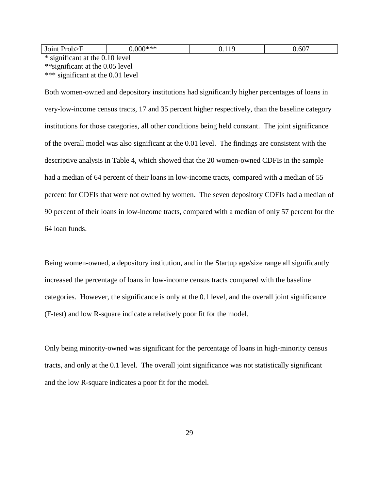\* significant at the 0.10 level \*\*significant at the 0.05 level \*\*\* significant at the 0.01 level

Both women-owned and depository institutions had significantly higher percentages of loans in very-low-income census tracts, 17 and 35 percent higher respectively, than the baseline category institutions for those categories, all other conditions being held constant. The joint significance of the overall model was also significant at the 0.01 level. The findings are consistent with the descriptive analysis in Table 4, which showed that the 20 women-owned CDFIs in the sample had a median of 64 percent of their loans in low-income tracts, compared with a median of 55 percent for CDFIs that were not owned by women. The seven depository CDFIs had a median of 90 percent of their loans in low-income tracts, compared with a median of only 57 percent for the 64 loan funds.

Being women-owned, a depository institution, and in the Startup age/size range all significantly increased the percentage of loans in low-income census tracts compared with the baseline categories. However, the significance is only at the 0.1 level, and the overall joint significance (F-test) and low R-square indicate a relatively poor fit for the model.

Only being minority-owned was significant for the percentage of loans in high-minority census tracts, and only at the 0.1 level. The overall joint significance was not statistically significant and the low R-square indicates a poor fit for the model.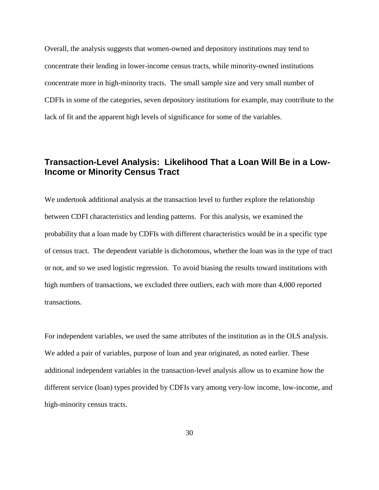Overall, the analysis suggests that women-owned and depository institutions may tend to concentrate their lending in lower-income census tracts, while minority-owned institutions concentrate more in high-minority tracts. The small sample size and very small number of CDFIs in some of the categories, seven depository institutions for example, may contribute to the lack of fit and the apparent high levels of significance for some of the variables.

## **Transaction-Level Analysis: Likelihood That a Loan Will Be in a Low-Income or Minority Census Tract**

We undertook additional analysis at the transaction level to further explore the relationship between CDFI characteristics and lending patterns. For this analysis, we examined the probability that a loan made by CDFIs with different characteristics would be in a specific type of census tract. The dependent variable is dichotomous, whether the loan was in the type of tract or not, and so we used logistic regression. To avoid biasing the results toward institutions with high numbers of transactions, we excluded three outliers, each with more than 4,000 reported transactions.

For independent variables, we used the same attributes of the institution as in the OLS analysis. We added a pair of variables, purpose of loan and year originated, as noted earlier. These additional independent variables in the transaction-level analysis allow us to examine how the different service (loan) types provided by CDFIs vary among very-low income, low-income, and high-minority census tracts.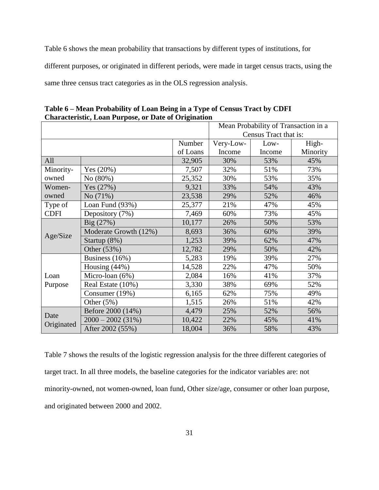Table 6 shows the mean probability that transactions by different types of institutions, for different purposes, or originated in different periods, were made in target census tracts, using the same three census tract categories as in the OLS regression analysis.

|             |                       | Mean Probability of Transaction in a |           |                       |          |
|-------------|-----------------------|--------------------------------------|-----------|-----------------------|----------|
|             |                       |                                      |           | Census Tract that is: |          |
|             |                       | Number                               | Very-Low- | Low-                  | High-    |
|             |                       | of Loans                             | Income    | Income                | Minority |
| All         |                       | 32,905                               | 30%       | 53%                   | 45%      |
| Minority-   | Yes $(20%)$           | 7,507                                | 32%       | 51%                   | 73%      |
| owned       | No (80%)              | 25,352                               | 30%       | 53%                   | 35%      |
| Women-      | Yes $(27%)$           | 9,321                                | 33%       | 54%                   | 43%      |
| owned       | No (71%)              | 23,538                               | 29%       | 52%                   | 46%      |
| Type of     | Loan Fund (93%)       | 25,377                               | 21%       | 47%                   | 45%      |
| <b>CDFI</b> | Depository (7%)       | 7,469                                | 60%       | 73%                   | 45%      |
|             | $Big(27\%)$           | 10,177                               | 26%       | 50%                   | 53%      |
|             | Moderate Growth (12%) | 8,693                                | 36%       | 60%                   | 39%      |
| Age/Size    | Startup $(8\%)$       | 1,253                                | 39%       | 62%                   | 47%      |
|             | Other (53%)           | 12,782                               | 29%       | 50%                   | 42%      |
|             | Business (16%)        | 5,283                                | 19%       | 39%                   | 27%      |
|             | Housing $(44%)$       | 14,528                               | 22%       | 47%                   | 50%      |
| Loan        | Micro-loan (6%)       | 2,084                                | 16%       | 41%                   | 37%      |
| Purpose     | Real Estate (10%)     | 3,330                                | 38%       | 69%                   | 52%      |
|             | Consumer (19%)        | 6,165                                | 62%       | 75%                   | 49%      |
|             | Other $(5%)$          | 1,515                                | 26%       | 51%                   | 42%      |
|             | Before 2000 (14%)     | 4,479                                | 25%       | 52%                   | 56%      |
| Date        | $2000 - 2002(31\%)$   | 10,422                               | 22%       | 45%                   | 41%      |
| Originated  | After 2002 (55%)      | 18,004                               | 36%       | 58%                   | 43%      |

**Table 6 – Mean Probability of Loan Being in a Type of Census Tract by CDFI Characteristic, Loan Purpose, or Date of Origination**

Table 7 shows the results of the logistic regression analysis for the three different categories of target tract. In all three models, the baseline categories for the indicator variables are: not minority-owned, not women-owned, loan fund, Other size/age, consumer or other loan purpose, and originated between 2000 and 2002.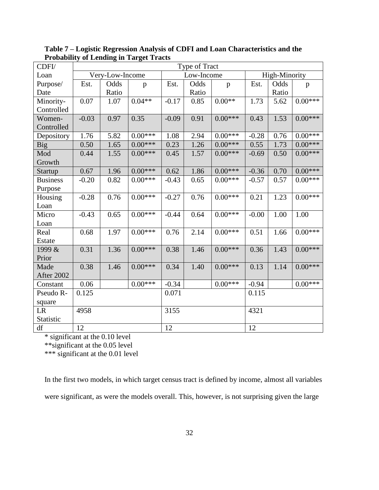| CDFI/           | Type of Tract   |       |           |            |       |           |               |       |           |
|-----------------|-----------------|-------|-----------|------------|-------|-----------|---------------|-------|-----------|
| Loan            | Very-Low-Income |       |           | Low-Income |       |           | High-Minority |       |           |
| Purpose/        | Est.            | Odds  | p         | Est.       | Odds  | p         | Est.          | Odds  | p         |
| Date            |                 | Ratio |           |            | Ratio |           |               | Ratio |           |
| Minority-       | 0.07            | 1.07  | $0.04**$  | $-0.17$    | 0.85  | $0.00**$  | 1.73          | 5.62  | $0.00***$ |
| Controlled      |                 |       |           |            |       |           |               |       |           |
| Women-          | $-0.03$         | 0.97  | 0.35      | $-0.09$    | 0.91  | $0.00***$ | 0.43          | 1.53  | $0.00***$ |
| Controlled      |                 |       |           |            |       |           |               |       |           |
| Depository      | 1.76            | 5.82  | $0.00***$ | 1.08       | 2.94  | $0.00***$ | $-0.28$       | 0.76  | $0.00***$ |
| Big             | 0.50            | 1.65  | $0.00***$ | 0.23       | 1.26  | $0.00***$ | 0.55          | 1.73  | $0.00***$ |
| Mod             | 0.44            | 1.55  | $0.00***$ | 0.45       | 1.57  | $0.00***$ | $-0.69$       | 0.50  | $0.00***$ |
| Growth          |                 |       |           |            |       |           |               |       |           |
| Startup         | 0.67            | 1.96  | $0.00***$ | 0.62       | 1.86  | $0.00***$ | $-0.36$       | 0.70  | $0.00***$ |
| <b>Business</b> | $-0.20$         | 0.82  | $0.00***$ | $-0.43$    | 0.65  | $0.00***$ | $-0.57$       | 0.57  | $0.00***$ |
| Purpose         |                 |       |           |            |       |           |               |       |           |
| Housing         | $-0.28$         | 0.76  | $0.00***$ | $-0.27$    | 0.76  | $0.00***$ | 0.21          | 1.23  | $0.00***$ |
| Loan            |                 |       |           |            |       |           |               |       |           |
| Micro           | $-0.43$         | 0.65  | $0.00***$ | $-0.44$    | 0.64  | $0.00***$ | $-0.00$       | 1.00  | 1.00      |
| Loan            |                 |       |           |            |       |           |               |       |           |
| Real            | 0.68            | 1.97  | $0.00***$ | 0.76       | 2.14  | $0.00***$ | 0.51          | 1.66  | $0.00***$ |
| Estate          |                 |       |           |            |       |           |               |       |           |
| 1999 &          | 0.31            | 1.36  | $0.00***$ | 0.38       | 1.46  | $0.00***$ | 0.36          | 1.43  | $0.00***$ |
| Prior           |                 |       |           |            |       |           |               |       |           |
| Made            | 0.38            | 1.46  | $0.00***$ | 0.34       | 1.40  | $0.00***$ | 0.13          | 1.14  | $0.00***$ |
| After 2002      |                 |       |           |            |       |           |               |       |           |
| Constant        | 0.06            |       | $0.00***$ | $-0.34$    |       | $0.00***$ | $-0.94$       |       | $0.00***$ |
| Pseudo R-       | 0.125           |       | 0.071     |            |       | 0.115     |               |       |           |
| square          |                 |       |           |            |       |           |               |       |           |
| LR              | 4958            |       |           | 3155       |       |           | 4321          |       |           |
| Statistic       |                 |       |           |            |       |           |               |       |           |
| df              | 12              |       |           | 12         |       |           | 12            |       |           |

**Table 7 – Logistic Regression Analysis of CDFI and Loan Characteristics and the Probability of Lending in Target Tracts**

\* significant at the 0.10 level

\*\*significant at the 0.05 level

\*\*\* significant at the 0.01 level

In the first two models, in which target census tract is defined by income, almost all variables were significant, as were the models overall. This, however, is not surprising given the large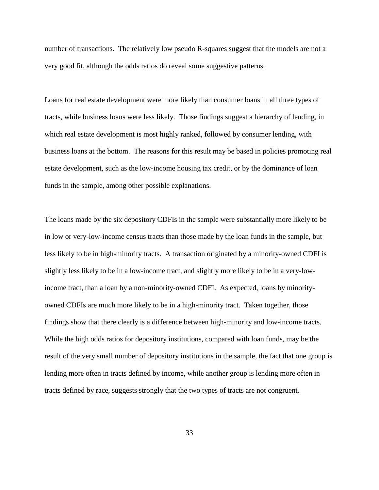number of transactions. The relatively low pseudo R-squares suggest that the models are not a very good fit, although the odds ratios do reveal some suggestive patterns.

Loans for real estate development were more likely than consumer loans in all three types of tracts, while business loans were less likely. Those findings suggest a hierarchy of lending, in which real estate development is most highly ranked, followed by consumer lending, with business loans at the bottom. The reasons for this result may be based in policies promoting real estate development, such as the low-income housing tax credit, or by the dominance of loan funds in the sample, among other possible explanations.

The loans made by the six depository CDFIs in the sample were substantially more likely to be in low or very-low-income census tracts than those made by the loan funds in the sample, but less likely to be in high-minority tracts. A transaction originated by a minority-owned CDFI is slightly less likely to be in a low-income tract, and slightly more likely to be in a very-lowincome tract, than a loan by a non-minority-owned CDFI. As expected, loans by minorityowned CDFIs are much more likely to be in a high-minority tract. Taken together, those findings show that there clearly is a difference between high-minority and low-income tracts. While the high odds ratios for depository institutions, compared with loan funds, may be the result of the very small number of depository institutions in the sample, the fact that one group is lending more often in tracts defined by income, while another group is lending more often in tracts defined by race, suggests strongly that the two types of tracts are not congruent.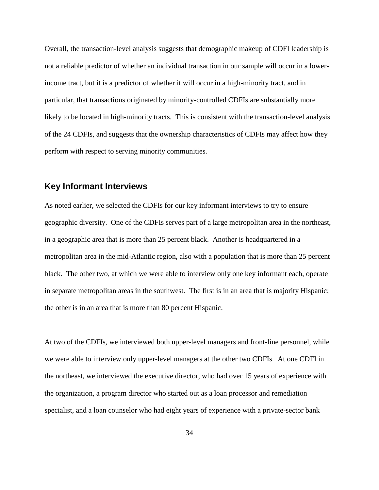Overall, the transaction-level analysis suggests that demographic makeup of CDFI leadership is not a reliable predictor of whether an individual transaction in our sample will occur in a lowerincome tract, but it is a predictor of whether it will occur in a high-minority tract, and in particular, that transactions originated by minority-controlled CDFIs are substantially more likely to be located in high-minority tracts. This is consistent with the transaction-level analysis of the 24 CDFIs, and suggests that the ownership characteristics of CDFIs may affect how they perform with respect to serving minority communities.

### **Key Informant Interviews**

As noted earlier, we selected the CDFIs for our key informant interviews to try to ensure geographic diversity. One of the CDFIs serves part of a large metropolitan area in the northeast, in a geographic area that is more than 25 percent black. Another is headquartered in a metropolitan area in the mid-Atlantic region, also with a population that is more than 25 percent black. The other two, at which we were able to interview only one key informant each, operate in separate metropolitan areas in the southwest. The first is in an area that is majority Hispanic; the other is in an area that is more than 80 percent Hispanic.

At two of the CDFIs, we interviewed both upper-level managers and front-line personnel, while we were able to interview only upper-level managers at the other two CDFIs. At one CDFI in the northeast, we interviewed the executive director, who had over 15 years of experience with the organization, a program director who started out as a loan processor and remediation specialist, and a loan counselor who had eight years of experience with a private-sector bank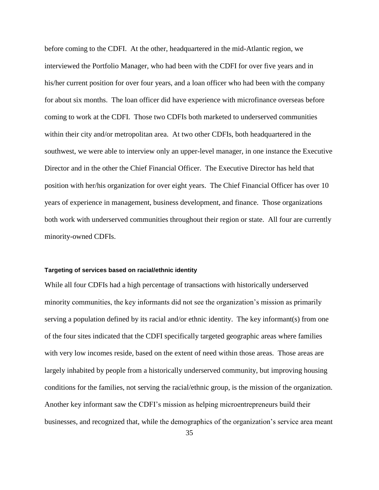before coming to the CDFI. At the other, headquartered in the mid-Atlantic region, we interviewed the Portfolio Manager, who had been with the CDFI for over five years and in his/her current position for over four years, and a loan officer who had been with the company for about six months. The loan officer did have experience with microfinance overseas before coming to work at the CDFI. Those two CDFIs both marketed to underserved communities within their city and/or metropolitan area. At two other CDFIs, both headquartered in the southwest, we were able to interview only an upper-level manager, in one instance the Executive Director and in the other the Chief Financial Officer. The Executive Director has held that position with her/his organization for over eight years. The Chief Financial Officer has over 10 years of experience in management, business development, and finance. Those organizations both work with underserved communities throughout their region or state. All four are currently minority-owned CDFIs.

#### **Targeting of services based on racial/ethnic identity**

While all four CDFIs had a high percentage of transactions with historically underserved minority communities, the key informants did not see the organization's mission as primarily serving a population defined by its racial and/or ethnic identity. The key informant(s) from one of the four sites indicated that the CDFI specifically targeted geographic areas where families with very low incomes reside, based on the extent of need within those areas. Those areas are largely inhabited by people from a historically underserved community, but improving housing conditions for the families, not serving the racial/ethnic group, is the mission of the organization. Another key informant saw the CDFI's mission as helping microentrepreneurs build their businesses, and recognized that, while the demographics of the organization's service area meant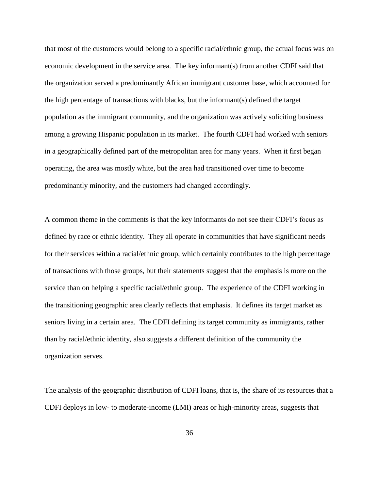that most of the customers would belong to a specific racial/ethnic group, the actual focus was on economic development in the service area. The key informant(s) from another CDFI said that the organization served a predominantly African immigrant customer base, which accounted for the high percentage of transactions with blacks, but the informant(s) defined the target population as the immigrant community, and the organization was actively soliciting business among a growing Hispanic population in its market. The fourth CDFI had worked with seniors in a geographically defined part of the metropolitan area for many years. When it first began operating, the area was mostly white, but the area had transitioned over time to become predominantly minority, and the customers had changed accordingly.

A common theme in the comments is that the key informants do not see their CDFI's focus as defined by race or ethnic identity. They all operate in communities that have significant needs for their services within a racial/ethnic group, which certainly contributes to the high percentage of transactions with those groups, but their statements suggest that the emphasis is more on the service than on helping a specific racial/ethnic group. The experience of the CDFI working in the transitioning geographic area clearly reflects that emphasis. It defines its target market as seniors living in a certain area. The CDFI defining its target community as immigrants, rather than by racial/ethnic identity, also suggests a different definition of the community the organization serves.

The analysis of the geographic distribution of CDFI loans, that is, the share of its resources that a CDFI deploys in low- to moderate-income (LMI) areas or high-minority areas, suggests that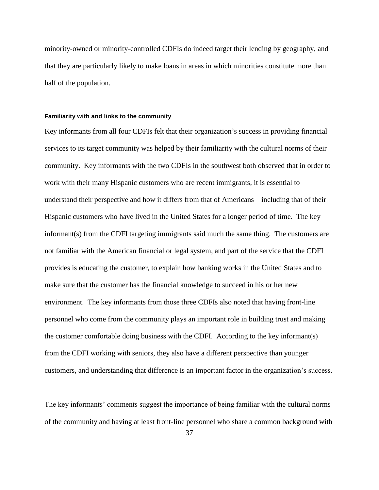minority-owned or minority-controlled CDFIs do indeed target their lending by geography, and that they are particularly likely to make loans in areas in which minorities constitute more than half of the population.

#### **Familiarity with and links to the community**

Key informants from all four CDFIs felt that their organization's success in providing financial services to its target community was helped by their familiarity with the cultural norms of their community. Key informants with the two CDFIs in the southwest both observed that in order to work with their many Hispanic customers who are recent immigrants, it is essential to understand their perspective and how it differs from that of Americans—including that of their Hispanic customers who have lived in the United States for a longer period of time. The key informant(s) from the CDFI targeting immigrants said much the same thing. The customers are not familiar with the American financial or legal system, and part of the service that the CDFI provides is educating the customer, to explain how banking works in the United States and to make sure that the customer has the financial knowledge to succeed in his or her new environment. The key informants from those three CDFIs also noted that having front-line personnel who come from the community plays an important role in building trust and making the customer comfortable doing business with the CDFI. According to the key informant(s) from the CDFI working with seniors, they also have a different perspective than younger customers, and understanding that difference is an important factor in the organization's success.

The key informants' comments suggest the importance of being familiar with the cultural norms of the community and having at least front-line personnel who share a common background with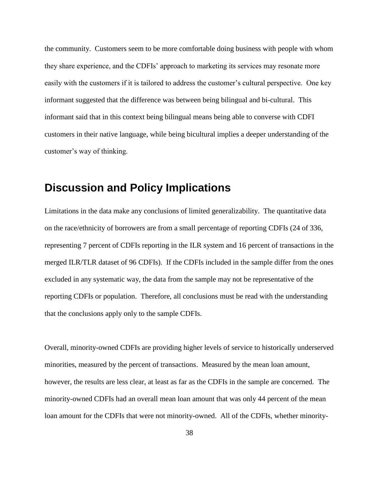the community. Customers seem to be more comfortable doing business with people with whom they share experience, and the CDFIs' approach to marketing its services may resonate more easily with the customers if it is tailored to address the customer's cultural perspective. One key informant suggested that the difference was between being bilingual and bi-cultural. This informant said that in this context being bilingual means being able to converse with CDFI customers in their native language, while being bicultural implies a deeper understanding of the customer's way of thinking.

## **Discussion and Policy Implications**

Limitations in the data make any conclusions of limited generalizability. The quantitative data on the race/ethnicity of borrowers are from a small percentage of reporting CDFIs (24 of 336, representing 7 percent of CDFIs reporting in the ILR system and 16 percent of transactions in the merged ILR/TLR dataset of 96 CDFIs). If the CDFIs included in the sample differ from the ones excluded in any systematic way, the data from the sample may not be representative of the reporting CDFIs or population. Therefore, all conclusions must be read with the understanding that the conclusions apply only to the sample CDFIs.

Overall, minority-owned CDFIs are providing higher levels of service to historically underserved minorities, measured by the percent of transactions. Measured by the mean loan amount, however, the results are less clear, at least as far as the CDFIs in the sample are concerned. The minority-owned CDFIs had an overall mean loan amount that was only 44 percent of the mean loan amount for the CDFIs that were not minority-owned. All of the CDFIs, whether minority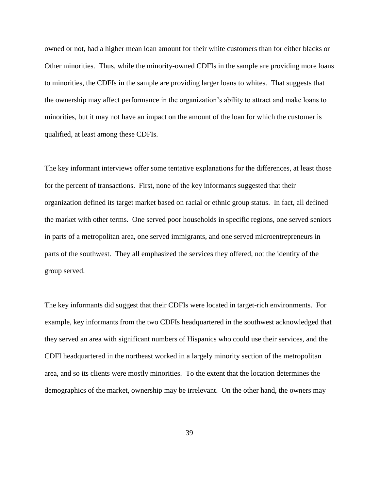owned or not, had a higher mean loan amount for their white customers than for either blacks or Other minorities. Thus, while the minority-owned CDFIs in the sample are providing more loans to minorities, the CDFIs in the sample are providing larger loans to whites. That suggests that the ownership may affect performance in the organization's ability to attract and make loans to minorities, but it may not have an impact on the amount of the loan for which the customer is qualified, at least among these CDFIs.

The key informant interviews offer some tentative explanations for the differences, at least those for the percent of transactions. First, none of the key informants suggested that their organization defined its target market based on racial or ethnic group status. In fact, all defined the market with other terms. One served poor households in specific regions, one served seniors in parts of a metropolitan area, one served immigrants, and one served microentrepreneurs in parts of the southwest. They all emphasized the services they offered, not the identity of the group served.

The key informants did suggest that their CDFIs were located in target-rich environments. For example, key informants from the two CDFIs headquartered in the southwest acknowledged that they served an area with significant numbers of Hispanics who could use their services, and the CDFI headquartered in the northeast worked in a largely minority section of the metropolitan area, and so its clients were mostly minorities. To the extent that the location determines the demographics of the market, ownership may be irrelevant. On the other hand, the owners may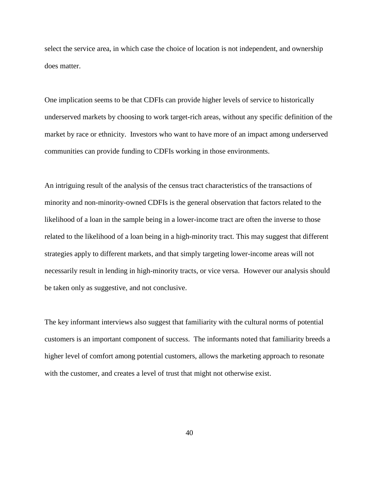select the service area, in which case the choice of location is not independent, and ownership does matter.

One implication seems to be that CDFIs can provide higher levels of service to historically underserved markets by choosing to work target-rich areas, without any specific definition of the market by race or ethnicity. Investors who want to have more of an impact among underserved communities can provide funding to CDFIs working in those environments.

An intriguing result of the analysis of the census tract characteristics of the transactions of minority and non-minority-owned CDFIs is the general observation that factors related to the likelihood of a loan in the sample being in a lower-income tract are often the inverse to those related to the likelihood of a loan being in a high-minority tract. This may suggest that different strategies apply to different markets, and that simply targeting lower-income areas will not necessarily result in lending in high-minority tracts, or vice versa. However our analysis should be taken only as suggestive, and not conclusive.

The key informant interviews also suggest that familiarity with the cultural norms of potential customers is an important component of success. The informants noted that familiarity breeds a higher level of comfort among potential customers, allows the marketing approach to resonate with the customer, and creates a level of trust that might not otherwise exist.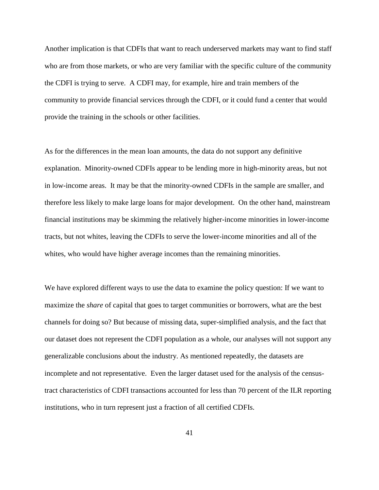Another implication is that CDFIs that want to reach underserved markets may want to find staff who are from those markets, or who are very familiar with the specific culture of the community the CDFI is trying to serve. A CDFI may, for example, hire and train members of the community to provide financial services through the CDFI, or it could fund a center that would provide the training in the schools or other facilities.

As for the differences in the mean loan amounts, the data do not support any definitive explanation. Minority-owned CDFIs appear to be lending more in high-minority areas, but not in low-income areas. It may be that the minority-owned CDFIs in the sample are smaller, and therefore less likely to make large loans for major development. On the other hand, mainstream financial institutions may be skimming the relatively higher-income minorities in lower-income tracts, but not whites, leaving the CDFIs to serve the lower-income minorities and all of the whites, who would have higher average incomes than the remaining minorities.

We have explored different ways to use the data to examine the policy question: If we want to maximize the *share* of capital that goes to target communities or borrowers, what are the best channels for doing so? But because of missing data, super-simplified analysis, and the fact that our dataset does not represent the CDFI population as a whole, our analyses will not support any generalizable conclusions about the industry. As mentioned repeatedly, the datasets are incomplete and not representative. Even the larger dataset used for the analysis of the censustract characteristics of CDFI transactions accounted for less than 70 percent of the ILR reporting institutions, who in turn represent just a fraction of all certified CDFIs.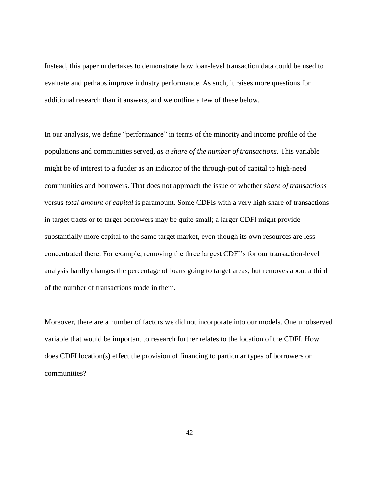Instead, this paper undertakes to demonstrate how loan-level transaction data could be used to evaluate and perhaps improve industry performance. As such, it raises more questions for additional research than it answers, and we outline a few of these below.

In our analysis, we define "performance" in terms of the minority and income profile of the populations and communities served, *as a share of the number of transactions.* This variable might be of interest to a funder as an indicator of the through-put of capital to high-need communities and borrowers. That does not approach the issue of whether *share of transactions* versus *total amount of capital* is paramount. Some CDFIs with a very high share of transactions in target tracts or to target borrowers may be quite small; a larger CDFI might provide substantially more capital to the same target market, even though its own resources are less concentrated there. For example, removing the three largest CDFI's for our transaction-level analysis hardly changes the percentage of loans going to target areas, but removes about a third of the number of transactions made in them.

Moreover, there are a number of factors we did not incorporate into our models. One unobserved variable that would be important to research further relates to the location of the CDFI. How does CDFI location(s) effect the provision of financing to particular types of borrowers or communities?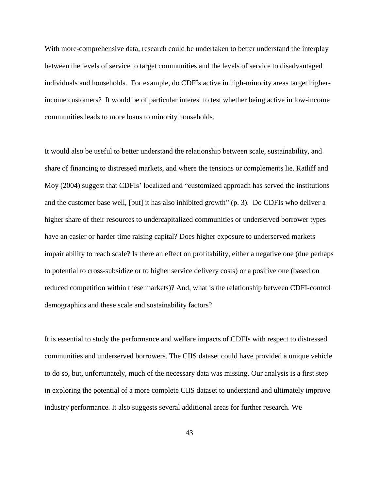With more-comprehensive data, research could be undertaken to better understand the interplay between the levels of service to target communities and the levels of service to disadvantaged individuals and households. For example, do CDFIs active in high-minority areas target higherincome customers? It would be of particular interest to test whether being active in low-income communities leads to more loans to minority households.

It would also be useful to better understand the relationship between scale, sustainability, and share of financing to distressed markets, and where the tensions or complements lie. Ratliff and Moy (2004) suggest that CDFIs' localized and "customized approach has served the institutions" and the customer base well, [but] it has also inhibited growth" (p. 3). Do CDFIs who deliver a higher share of their resources to undercapitalized communities or underserved borrower types have an easier or harder time raising capital? Does higher exposure to underserved markets impair ability to reach scale? Is there an effect on profitability, either a negative one (due perhaps to potential to cross-subsidize or to higher service delivery costs) or a positive one (based on reduced competition within these markets)? And, what is the relationship between CDFI-control demographics and these scale and sustainability factors?

It is essential to study the performance and welfare impacts of CDFIs with respect to distressed communities and underserved borrowers. The CIIS dataset could have provided a unique vehicle to do so, but, unfortunately, much of the necessary data was missing. Our analysis is a first step in exploring the potential of a more complete CIIS dataset to understand and ultimately improve industry performance. It also suggests several additional areas for further research. We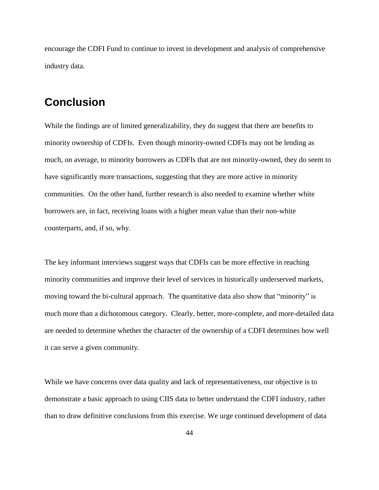encourage the CDFI Fund to continue to invest in development and analysis of comprehensive industry data.

# **Conclusion**

While the findings are of limited generalizability, they do suggest that there are benefits to minority ownership of CDFIs. Even though minority-owned CDFIs may not be lending as much, on average, to minority borrowers as CDFIs that are not minority-owned, they do seem to have significantly more transactions, suggesting that they are more active in minority communities. On the other hand, further research is also needed to examine whether white borrowers are, in fact, receiving loans with a higher mean value than their non-white counterparts, and, if so, why.

The key informant interviews suggest ways that CDFIs can be more effective in reaching minority communities and improve their level of services in historically underserved markets, moving toward the bi-cultural approach. The quantitative data also show that "minority" is much more than a dichotomous category. Clearly, better, more-complete, and more-detailed data are needed to determine whether the character of the ownership of a CDFI determines how well it can serve a given community.

While we have concerns over data quality and lack of representativeness, our objective is to demonstrate a basic approach to using CIIS data to better understand the CDFI industry, rather than to draw definitive conclusions from this exercise. We urge continued development of data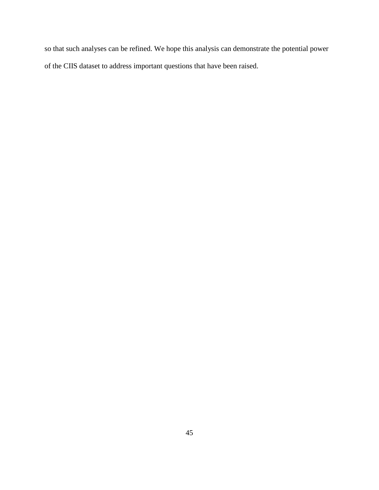so that such analyses can be refined. We hope this analysis can demonstrate the potential power of the CIIS dataset to address important questions that have been raised.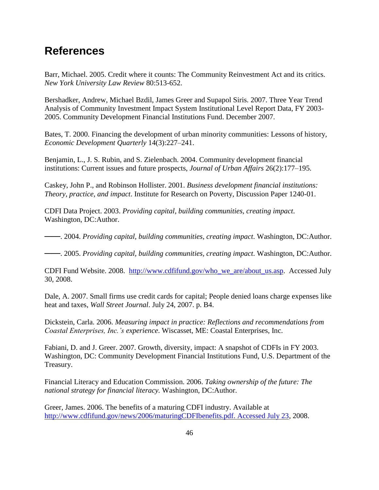# **References**

Barr, Michael. 2005. Credit where it counts: The Community Reinvestment Act and its critics. *New York University Law Review* 80:513-652.

Bershadker, Andrew, Michael Bzdil, James Greer and Supapol Siris. 2007. Three Year Trend Analysis of Community Investment Impact System Institutional Level Report Data, FY 2003- 2005. Community Development Financial Institutions Fund. December 2007.

Bates, T. 2000. Financing the development of urban minority communities: Lessons of history, *Economic Development Quarterly* 14(3):227–241.

Benjamin, L., J. S. Rubin, and S. Zielenbach. 2004. Community development financial institutions: Current issues and future prospects, *Journal of Urban Affairs* 26(2):177–195.

Caskey, John P., and Robinson Hollister. 2001. *Business development financial institutions: Theory, practice, and impact*. Institute for Research on Poverty, Discussion Paper 1240-01.

CDFI Data Project. 2003. *Providing capital, building communities, creating impact*. Washington, DC:Author.

───. 2004. *Providing capital, building communities, creating impact*. Washington, DC:Author.

───. 2005. *Providing capital, building communities, creating impact*. Washington, DC:Author.

CDFI Fund Website. 2008. [http://www.cdfifund.gov/who\\_we\\_are/about\\_us.asp.](http://www.cdfifund.gov/who_we_are/about_us.asp) Accessed July 30, 2008.

Dale, A. 2007. Small firms use credit cards for capital; People denied loans charge expenses like heat and taxes, *Wall Street Journal*. July 24, 2007. p. B4.

Dickstein, Carla. 2006. *Measuring impact in practice: Reflections and recommendations from Coastal Enterprises, Inc.'s experience*. Wiscasset, ME: Coastal Enterprises, Inc.

Fabiani, D. and J. Greer. 2007. Growth, diversity, impact: A snapshot of CDFIs in FY 2003. Washington, DC: Community Development Financial Institutions Fund, U.S. Department of the Treasury.

Financial Literacy and Education Commission. 2006. *Taking ownership of the future: The national strategy for financial literacy.* Washington, DC:Author.

Greer, James. 2006. The benefits of a maturing CDFI industry. Available at [http://www.cdfifund.gov/news/2006/maturingCDFIbenefits.pdf. Accessed July 23,](http://www.cdfifund.gov/news/2006/maturingCDFIbenefits.pdf.%20Accessed%20July%2023) 2008.